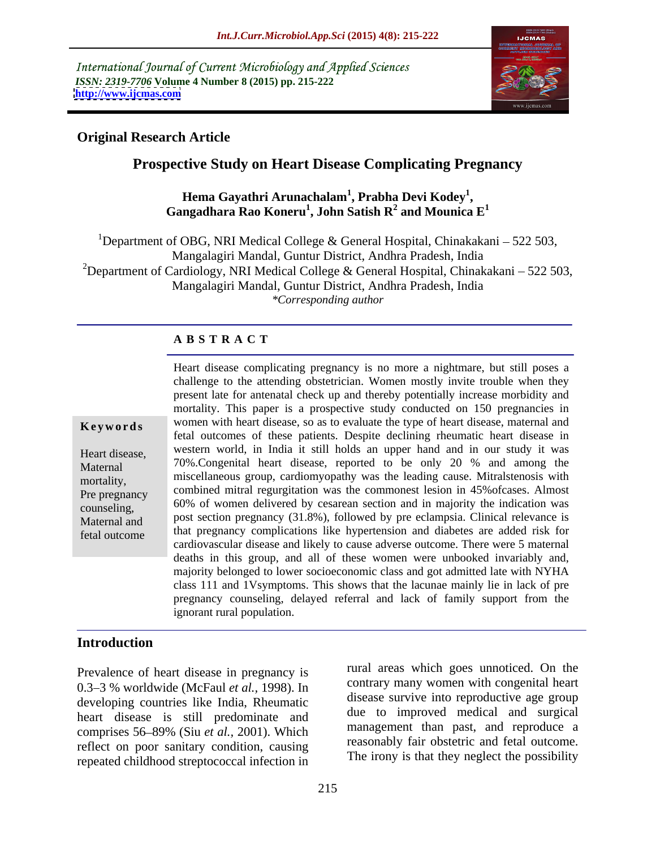International Journal of Current Microbiology and Applied Sciences *ISSN: 2319-7706* **Volume 4 Number 8 (2015) pp. 215-222 <http://www.ijcmas.com>**



#### **Original Research Article**

# **Prospective Study on Heart Disease Complicating Pregnancy<br>Hema Gayathri Arunachalam<sup>1</sup>, Prabha Devi Kodey<sup>1</sup>,**

**, Prabha Devi Kodey<sup>1</sup>** Hema Gayathri Arunachalam<sup>1</sup>, Prabha Devi Kodey<sup>1</sup>,<br>Gangadhara Rao Koneru<sup>1</sup>, John Satish R<sup>2</sup> and Mounica E<sup>1</sup> **and Mounica E 1**

<sup>1</sup>Department of OBG, NRI Medical College & General Hospital, Chinakakani – 522 503, Mangalagiri Mandal, Guntur District, Andhra Pradesh, India <sup>2</sup>Department of Cardiology, NRI Medical College & General Hospital, Chinakakani – 522 503, Mangalagiri Mandal, Guntur District, Andhra Pradesh, India *\*Corresponding author*

#### **A B S T R A C T**

fetal outcome

Heart disease complicating pregnancy is no more a nightmare, but still poses a challenge to the attending obstetrician. Women mostly invite trouble when they present late for antenatal check up and thereby potentially increase morbidity and mortality. This paper is a prospective study conducted on 150 pregnancies in **Keywords** women with heart disease, so as to evaluate the type of heart disease, maternal and fetal outcomes of these patients. Despite declining rheumatic heart disease in Heart disease, western world, in India it still holds an upper hand and in our study it was Maternal 70%. Congenital heart disease, reported to be only 20 % and among the mortality, miscellaneous group, cardiomyopathy was the leading cause. Mitralstenosis with combined mitral regurgitation was the commonest lesion in 45%ofcases. Almost Pre pregnancy 60% of women delivered by cesarean section and in majority the indication was counseling, post section pregnancy (31.8%), followed by pre eclampsia. Clinical relevance is Maternal and that pregnancy complications like hypertension and diabetes are added risk for cardiovascular disease and likely to cause adverse outcome. There were 5 maternal deaths in this group, and all of these women were unbooked invariably and, majority belonged to lower socioeconomic class and got admitted late with NYHA class 111 and 1Vsymptoms. This shows that the lacunae mainly lie in lack of pre pregnancy counseling, delayed referral and lack of family support from the ignorant rural population.

## **Introduction**

Prevalence of heart disease in pregnancy is 0.3 3 % worldwide (McFaul *et al.,* 1998). In developing countries like India, Rheumatic heart disease is still predominate and reflect on poor sanitary condition, causing repeated childhood streptococcal infection in

comprises 56 89% (Siu *et al.,* 2001). Which rural areas which goes unnoticed. On the contrary many women with congenital heart disease survive into reproductive age group due to improved medical and surgical management than past, and reproduce a reasonably fair obstetric and fetal outcome. The irony is that they neglect the possibility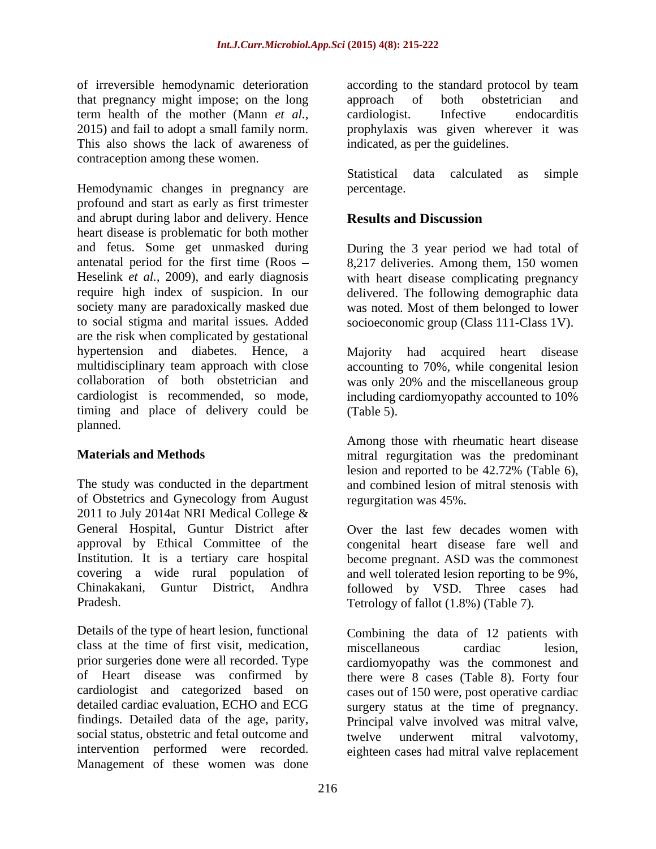that pregnancy might impose; on the long term health of the mother (Mann *et al.,* This also shows the lack of awareness of contraception among these women.

Hemodynamic changes in pregnancy are percentage. profound and start as early as first trimester and abrupt during labor and delivery. Hence **Results and Discussion** heart disease is problematic for both mother and fetus. Some get unmasked during During the 3 year period we had total of antenatal period for the first time (Roos 8,217 deliveries. Among them, 150 women Heselink *et al.*, 2009), and early diagnosis with heart disease complicating pregnancy require high index of suspicion. In our delivered. The following demographic data society many are paradoxically masked due was noted. Most of them belonged to lower to social stigma and marital issues. Added socioeconomic group (Class 111-Class 1V). are the risk when complicated by gestational hypertension and diabetes. Hence, a multidisciplinary team approach with close accounting to 70%, while congenital lesion collaboration of both obstetrician and was only 20% and the miscellaneous group cardiologist is recommended, so mode, including cardiomyopathy accounted to 10% timing and place of delivery could be (Table 5). planned. The contract of the contract of the contract of the contract of the contract of the contract of the contract of the contract of the contract of the contract of the contract of the contract of the contract of the c

The study was conducted in the department and combined lesion of mitral stenosis with of Obstetrics and Gynecology from August 2011 to July 2014at NRI Medical College & General Hospital, Guntur District after approval by Ethical Committee of the Institution. It is a tertiary care hospital

Details of the type of heart lesion, functional class at the time of first visit, medication, findings. Detailed data of the age, parity, social status, obstetric and fetal outcome and twelve underwent mitral valvotomy, Management of these women was done

of irreversible hemodynamic deterioration according to the standard protocol by team 2015) and fail to adopt a small family norm. prophylaxis was given wherever it was approach of both obstetrician and cardiologist. Infective endocarditis indicated, as per the guidelines.

> Statistical data calculated as simple percentage.

### **Results and Discussion**

Majority had acquired heart disease (Table 5).

**Materials and Methods** mitral regurgitation was the predominant Among those with rheumatic heart disease lesion and reported to be 42.72% (Table 6), regurgitation was 45%.

covering a wide rural population of and well tolerated lesion reporting to be 9%, Chinakakani, Guntur District, Andhra followed by VSD. Three cases had Pradesh. Tetrology of fallot (1.8%) (Table 7). Over the last few decades women with congenital heart disease fare well and become pregnant. ASD was the commonest

prior surgeries done were all recorded. Type cardiomyopathy was the commonest and of Heart disease was confirmed by there were 8 cases (Table 8). Forty four cardiologist and categorized based on cases out of 150 were, post operative cardiac detailed cardiac evaluation, ECHO and ECG surgery status at the time of pregnancy. intervention performed were recorded. eighteen cases had mitral valve replacementCombining the data of 12 patients with miscellaneous cardiac lesion, Principal valve involved was mitral valve, twelve underwent mitral valvotomy,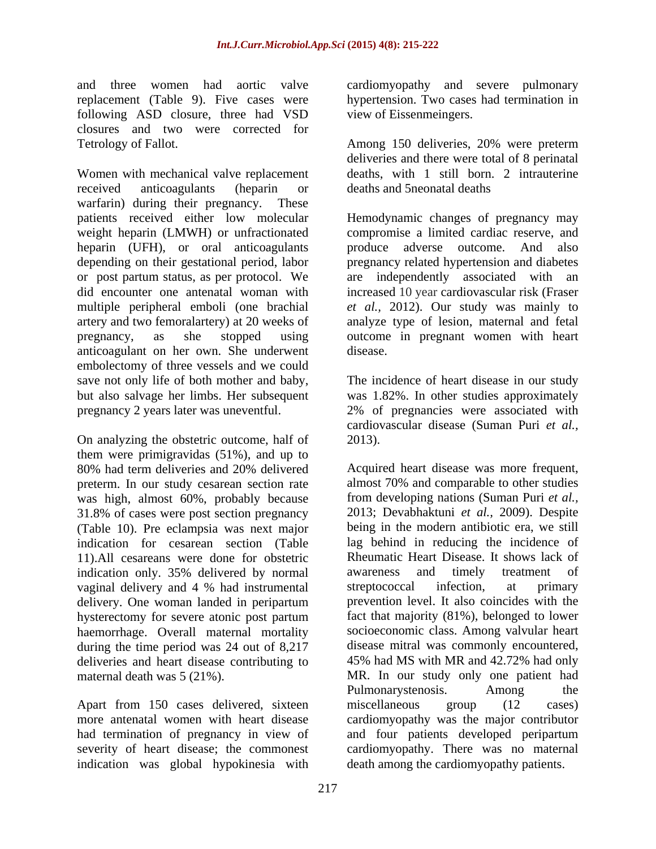and three women had aortic valve cardiomyopathy and severe pulmonary replacement (Table 9). Five cases were hypertension. Two cases had termination in following ASD closure, three had VSD closures and two were corrected for

Women with mechanical valve replacement received anticoagulants (heparin or warfarin) during their pregnancy. These<br>patients received either low molecular patients received either low molecular Hemodynamic changes of pregnancy may weight heparin (LMWH) or unfractionated heparin (UFH), or oral anticoagulants depending on their gestational period, labor or post partum status, as per protocol. We are independently associated with an did encounter one antenatal woman with increased 10 year cardiovascular risk (Fraser multiple peripheral emboli (one brachial *et al.,* 2012). Our study was mainly to artery and two femoralartery) at 20 weeks of pregnancy, as she stopped using outcome in pregnant women with heart anticoagulant on her own. She underwent embolectomy of three vessels and we could save not only life of both mother and baby, The incidence of heart disease in our study but also salvage her limbs. Her subsequent was 1.82%. In other studies approximately pregnancy 2 years later was uneventful. 2% of pregnancies were associated with

On analyzing the obstetric outcome, half of 2013). them were primigravidas (51%), and up to preterm. In our study cesarean section rate was high, almost 60%, probably because 31.8% of cases were post section pregnancy (Table 10). Pre eclampsia was next major 11).All cesareans were done for obstetric indication only. 35% delivered by normal vaginal delivery and 4 % had instrumental streptococcal infection, at primary hysterectomy for severe atonic post partum haemorrhage. Overall maternal mortality during the time period was 24 out of 8,217 deliveries and heart disease contributing to

Apart from 150 cases delivered, sixteen miscellaneous group (12 cases) indication was global hypokinesia with

view of Eissenmeingers.

Tetrology of Fallot. Among 150 deliveries, 20% were preterm deliveries and there were total of 8 perinatal deaths, with 1 still born. 2 intrauterine deaths and 5neonatal deaths

> compromise a limited cardiac reserve, and produce adverse outcome. And also pregnancy related hypertension and diabetes analyze type of lesion, maternal and fetal disease.

cardiovascular disease (Suman Puri *et al.,* 2013).

80% had term deliveries and 20% delivered indication for cesarean section (Table lag behind in reducing the incidence of delivery. One woman landed in peripartum deliveries and heart disease contributing to 45% had MS with MR and 42.72% had only maternal death was 5 (21%). MR. In our study only one patient had more antenatal women with heart disease cardiomyopathy was the major contributor had termination of pregnancy in view of and four patients developed peripartum severity of heart disease; the commonest cardiomyopathy. There was no maternal Acquired heart disease was more frequent, almost 70% and comparable to other studies from developing nations (Suman Puri *et al.,* 2013; Devabhaktuni *et al.,* 2009). Despite being in the modern antibiotic era, we still Rheumatic Heart Disease. It shows lack of awareness and timely treatment of streptococcal infection, at primary prevention level. It also coincides with the fact that majority (81%), belonged to lower socioeconomic class. Among valvular heart disease mitral was commonly encountered, Pulmonarystenosis. Among the miscellaneous group (12 cases) death among the cardiomyopathy patients.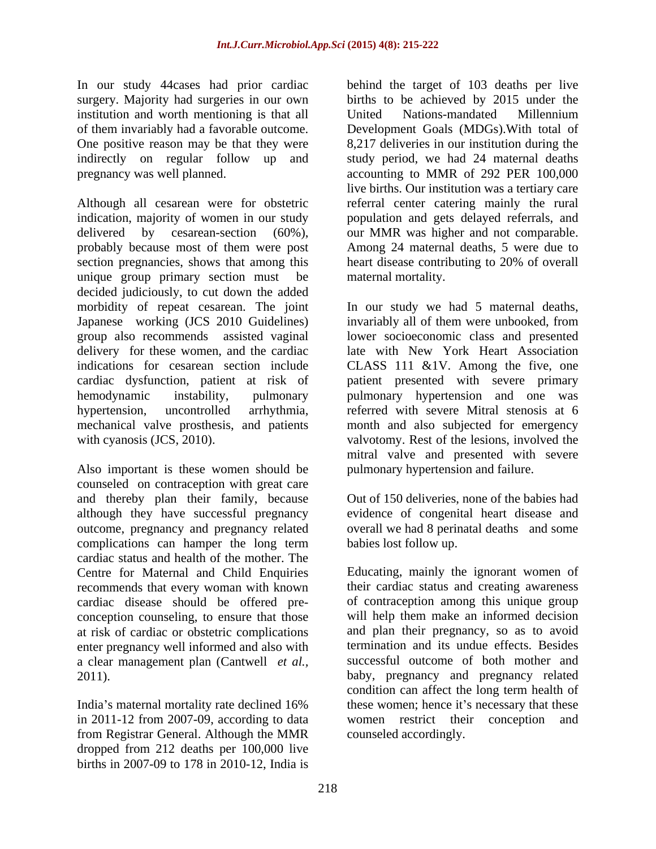surgery. Majority had surgeries in our own institution and worth mentioning is that all United Nations-mandated Millennium

Although all cesarean were for obstetric ereferral center catering mainly the rural indication, majority of women in our study population and gets delayed referrals, and delivered by cesarean-section (60%), our MMR was higher and not comparable. probably because most of them were post section pregnancies, shows that among this heart disease contributing to 20% of overall unique group primary section must be decided judiciously, to cut down the added morbidity of repeat cesarean. The joint In our study we had 5 maternal deaths, Japanese working (JCS 2010 Guidelines) group also recommends assisted vaginal lower socioeconomic class and presented delivery for these women, and the cardiac late with New York Heart Association indications for cesarean section include CLASS 111 &1V. Among the five, one cardiac dysfunction, patient at risk of patient presented with severe primary hemodynamic instability, pulmonary pulmonary hypertension and one was hypertension, uncontrolled arrhythmia, referred with severe Mitral stenosis at 6 mechanical valve prosthesis, and patients month and also subjected for emergency with cyanosis (JCS, 2010). valvotomy. Rest of the lesions, involved the

Also important is these women should be counseled on contraception with great care and thereby plan their family, because although they have successful pregnancy evidence of congenital heart disease and outcome, pregnancy and pregnancy related overall we had 8 perinatal deaths and some complications can hamper the long term cardiac status and health of the mother. The conception counseling, to ensure that those enter pregnancy well informed and also with a clear management plan (Cantwell *et al.,*

in 2011-12 from 2007-09, according to data women restrict their conception and from Registrar General. Although the MMR dropped from 212 deaths per 100,000 live births in 2007-09 to 178 in 2010-12, India is

In our study 44 cases had prior cardiac behind the target of 103 deaths per live of them invariably had a favorable outcome. Development Goals (MDGs).With total of One positive reason may be that they were 8,217 deliveries in our institution during the indirectly on regular follow up and study period, we had 24 maternal deaths pregnancy was well planned. accounting to MMR of 292 PER 100,000 births to be achieved by 2015 under the United Nations-mandated Millennium live births. Our institution was a tertiary care Among 24 maternal deaths, 5 were due to heart disease contributing to 20% of overall maternal mortality.

> invariably all of them were unbooked, from mitral valve and presented with severe pulmonary hypertension and failure.

Out of 150 deliveries, none of the babies had babies lost follow up.

Centre for Maternal and Child Enquiries Educating, mainly the ignorant women of recommends that every woman with known their cardiac status and creating awareness cardiac disease should be offered pre- of contraception among this unique group at risk of cardiac or obstetric complications and plan their pregnancy, so as to avoid 2011). baby, pregnancy and pregnancy related India's maternal mortality rate declined 16% these women; hence it's necessary that these will help them make an informed decision termination and its undue effects. Besides successful outcome of both mother and condition can affect the long term health of these women; hence it's necessary that these women restrict their conception counseled accordingly.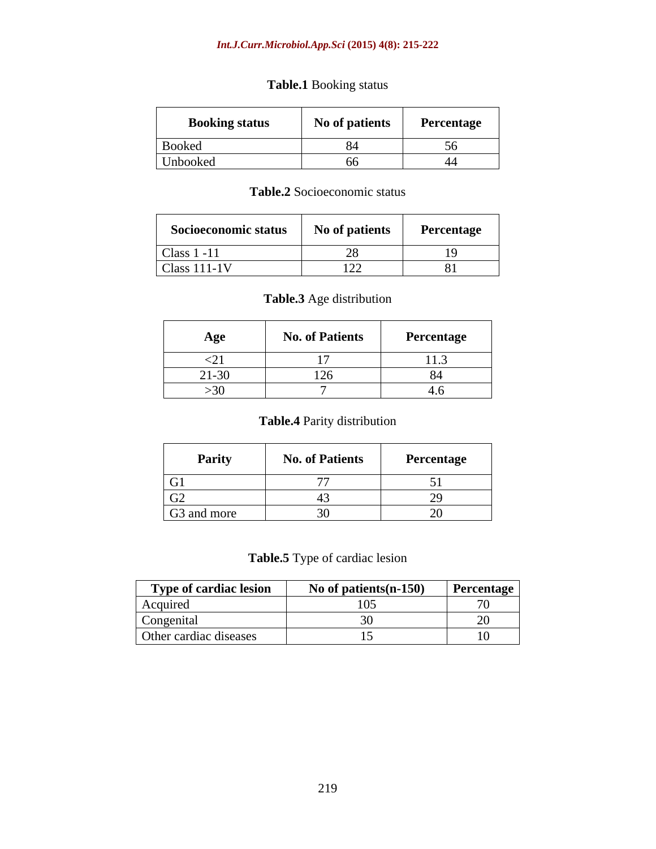#### *Int.J.Curr.Microbiol.App.Sci* **(2015) 4(8): 215-222**

### **Table.1** Booking status

| <b>Booking status</b> | No of patients | Percentage |
|-----------------------|----------------|------------|
| <b>Booked</b>         |                |            |
| Unbooked              |                |            |

#### **Table.2** Socioeconomic status

| $\sim$<br>Socioeconomic status | $\mathbf{v}$<br>No of patients | Percentage |
|--------------------------------|--------------------------------|------------|
|                                |                                |            |
| Class $1 - 11$                 | --                             |            |
| Class 111-1V                   | $\sim$ $ -$<br>---             | 01<br>υı.  |

#### **Table.3** Age distribution

| Age             | <b>No. of Patients</b>        | Percentage |
|-----------------|-------------------------------|------------|
| ∼               |                               |            |
| 21.20<br>-21-30 | $1^{\sim}$<br>12 <sub>c</sub> |            |
| $>30$           |                               |            |

### **Table.4** Parity distribution

| Parity          | <b>No. of Patients</b> | Percentage |
|-----------------|------------------------|------------|
| $\overline{G1}$ |                        |            |
| G2              |                        |            |
| G3 and more     |                        |            |

### **Table.5** Type of cardiac lesion

| <b>Type of cardiac lesion</b> | No of patients $(n-150)$ | Percentage |
|-------------------------------|--------------------------|------------|
| Acquired                      | (1)                      | ,,,        |
| Congenital                    |                          |            |
| Other cardiac diseases        |                          | 10.        |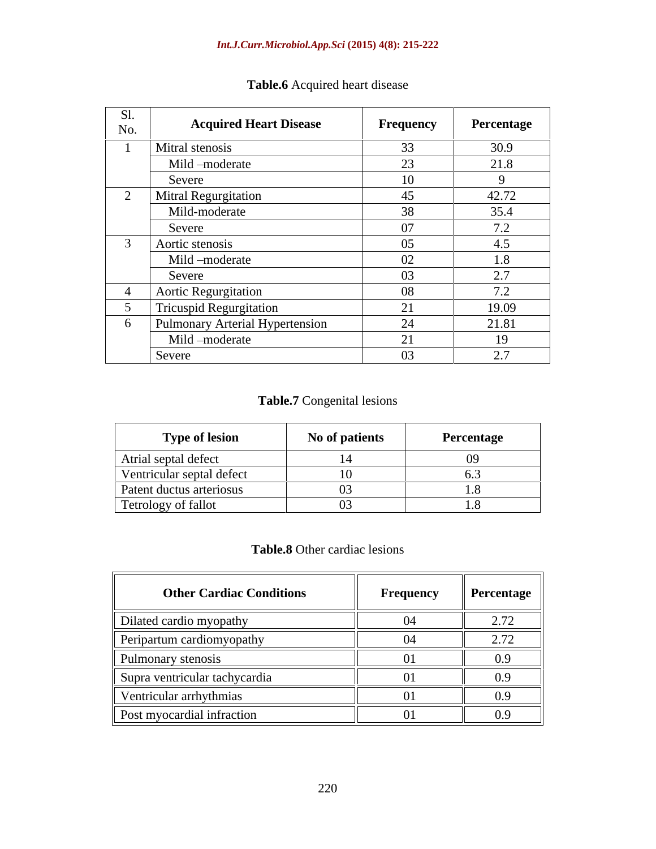| Sl.<br>No. | <b>Acquired Heart Disease</b>   | Frequency       | Percentage |
|------------|---------------------------------|-----------------|------------|
|            | Mitral stenosis                 | 33              | 30.9       |
|            | Mild -moderate                  | 23              | 21.8       |
|            | Severe                          | 10              |            |
|            | Mitral Regurgitation            | 45              | 42.72      |
|            | Mild-moderate                   | 38              | 35.4       |
|            | Severe                          | 07              | 7.2        |
| $\sim$     | Aortic stenosis                 | 05 <sub>o</sub> | 4.5        |
|            | Mild -moderate                  | 02              | 1.8        |
|            | Severe                          | 03              | 2.7        |
|            | <b>Aortic Regurgitation</b>     | 08              | 7.2        |
|            | <b>Tricuspid Regurgitation</b>  | 21              | 19.09      |
| 6          | Pulmonary Arterial Hypertension | 24              | 21.81      |
|            | Mild -moderate                  | 21              | 19         |
|            | Severe                          | 03              | 2.7        |

# **Table.6** Acquired heart disease

### **Table.7** Congenital lesions

| <b>Type of lesion</b>     | No of patients | Percentage |
|---------------------------|----------------|------------|
| Atrial septal defect      |                |            |
| Ventricular septal defect |                |            |
| Patent ductus arteriosus  |                |            |
| Tetrology of fallot       |                |            |

## **Table.8** Other cardiac lesions

| <b>Other Cardiac Conditions</b> | <b>Frequency</b> | Percentage |
|---------------------------------|------------------|------------|
| Dilated cardio myopathy         |                  | 2.72       |
| Peripartum cardiomyopathy       |                  | 2.72       |
| Pulmonary stenosis              |                  | 0.9        |
| Supra ventricular tachycardia   |                  | 0.9        |
| Ventricular arrhythmias         |                  | 0.9        |
| Post myocardial infraction      |                  | 0.9        |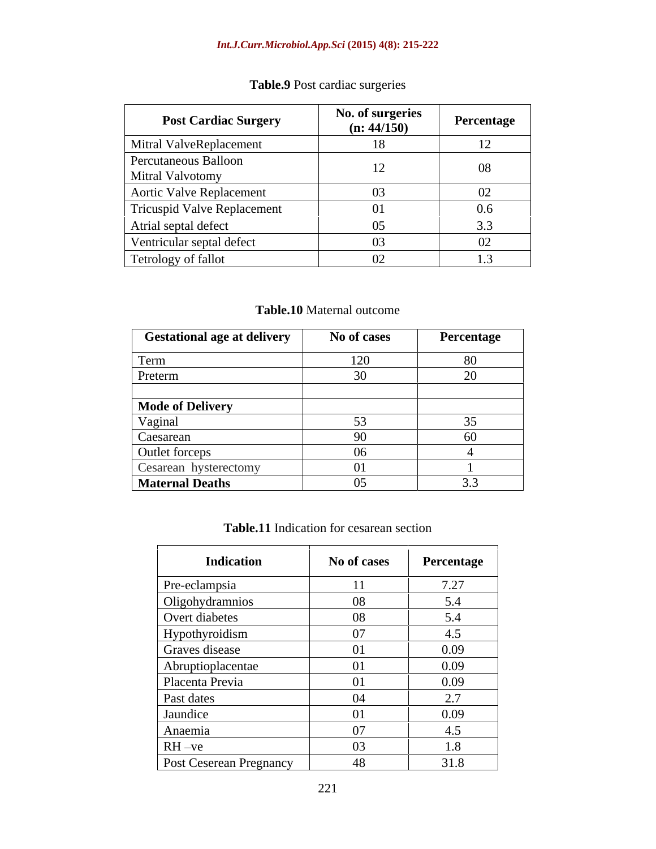# **Table.9** Post cardiac surgeries

| <b>Post Cardiac Surgery</b>                     | No. of surgeries<br>(n: 44/150) | Percentage          |
|-------------------------------------------------|---------------------------------|---------------------|
| Mitral ValveReplacement                         | 18                              | 12                  |
| Percutaneous Balloon<br><b>Mitral Valvotomy</b> |                                 | 08                  |
| Aortic Valve Replacement                        | 03                              | 02                  |
| Tricuspid Valve Replacement                     |                                 | 0.6                 |
| Atrial septal defect                            | $0.5^{\circ}$                   | 3.3                 |
| Ventricular septal defect                       | 03                              | 02                  |
| Tetrology of fallot                             | 02                              | $\sqrt{3}$<br>. . J |

#### **Table.10** Maternal outcome

| <b>Gestational age at delivery</b> | No of cases | Percentage |
|------------------------------------|-------------|------------|
| Term                               | 100         | 80         |
| Preterm                            |             | $\Omega$   |
| <b>Mode of Delivery</b>            |             |            |
| Vaginal                            |             |            |
| Caesarean                          | Q()         | 60         |
| Outlet forceps                     | ur          |            |
| Cesarean hysterectomy              | 01          |            |
| <b>Maternal Deaths</b>             |             | J.J        |

#### **Table.11** Indication for cesarean section

| <b>Indication</b>              | No of cases   | Percentage |
|--------------------------------|---------------|------------|
| Pre-eclampsia                  | <sup>11</sup> | 7.27       |
| Oligohydramnios                | 08            | 5.4        |
| Overt diabetes                 | 08            | 5.4        |
| Hypothyroidism                 | 07            | 4.5        |
| Graves disease                 | 01            | 0.09       |
| Abruptioplacentae              | 01            | 0.09       |
| Placenta Previa                | 01            | 0.09       |
| Past dates                     | 04            | 2.7        |
| Jaundice                       | 01            | 0.09       |
| Anaemia                        | 07            | 4.5        |
| $RH -ve$                       | 03            | 1.8        |
| <b>Post Ceserean Pregnancy</b> | 48            | 31.8       |